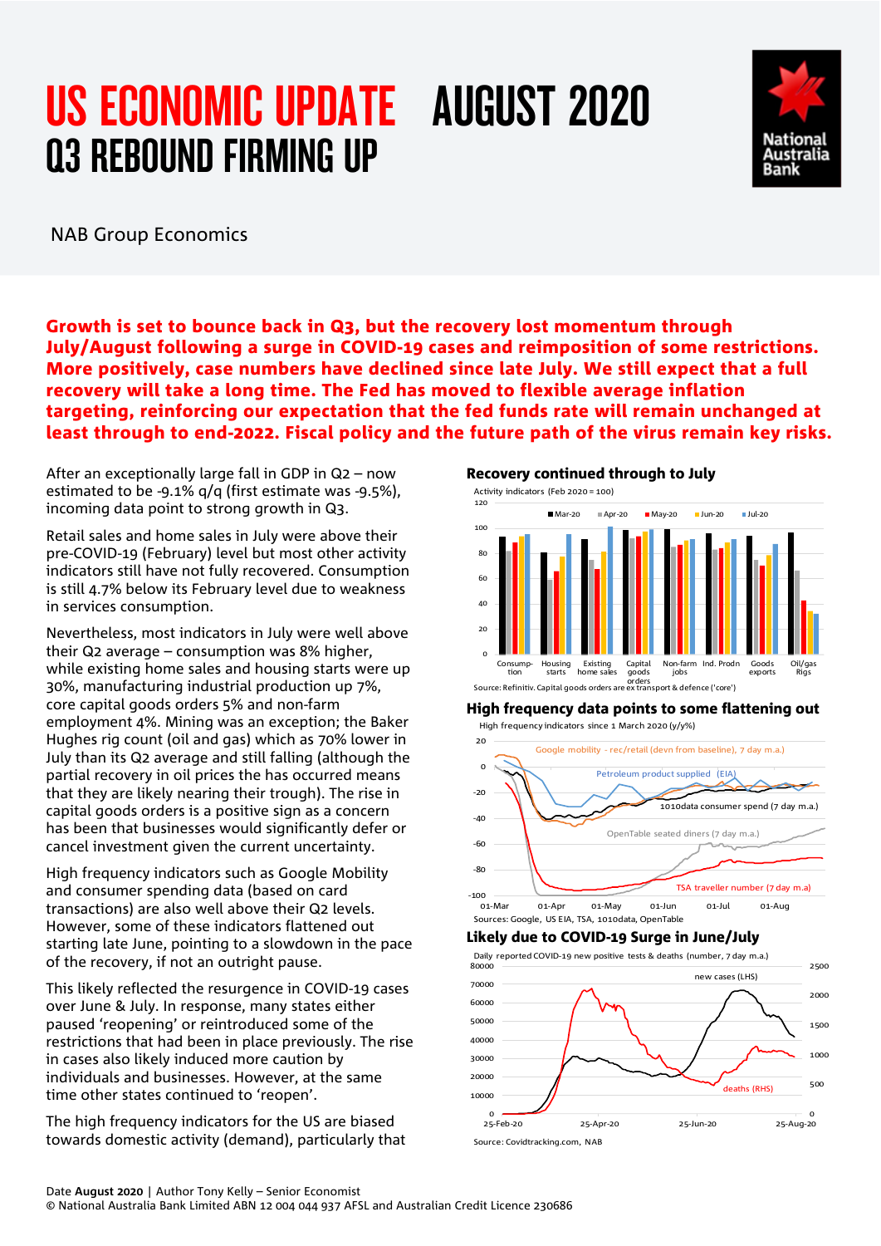# US ECONOMIC UPDATE AUGUST 2020 Q3 REBOUND FIRMING UP



NAB Group Economics

Growth is set to bounce back in Q3, but the recovery lost momentum through July/August following a surge in COVID-19 cases and reimposition of some restrictions. More positively, case numbers have declined since late July. We still expect that a full recovery will take a long time. The Fed has moved to flexible average inflation targeting, reinforcing our expectation that the fed funds rate will remain unchanged at least through to end-2022. Fiscal policy and the future path of the virus remain key risks.

After an exceptionally large fall in GDP in Q2 – now estimated to be -9.1% q/q (first estimate was -9.5%), incoming data point to strong growth in Q3.

Retail sales and home sales in July were above their pre-COVID-19 (February) level but most other activity indicators still have not fully recovered. Consumption is still 4.7% below its February level due to weakness in services consumption.

Nevertheless, most indicators in July were well above their Q2 average – consumption was 8% higher, while existing home sales and housing starts were up 30%, manufacturing industrial production up 7%, core capital goods orders 5% and non-farm employment 4%. Mining was an exception; the Baker Hughes rig count (oil and gas) which as 70% lower in July than its Q2 average and still falling (although the partial recovery in oil prices the has occurred means that they are likely nearing their trough). The rise in capital goods orders is a positive sign as a concern has been that businesses would significantly defer or cancel investment given the current uncertainty.

High frequency indicators such as Google Mobility and consumer spending data (based on card transactions) are also well above their Q2 levels. However, some of these indicators flattened out starting late June, pointing to a slowdown in the pace of the recovery, if not an outright pause.

This likely reflected the resurgence in COVID-19 cases over June & July. In response, many states either paused 'reopening' or reintroduced some of the restrictions that had been in place previously. The rise in cases also likely induced more caution by individuals and businesses. However, at the same time other states continued to 'reopen'.

The high frequency indicators for the US are biased towards domestic activity (demand), particularly that

Recovery continued through to July



### High frequency data points to some flattening out

High frequency indicators since 1 March 2020 (y/y%)



### Likely due to COVID-19 Surge in June/July



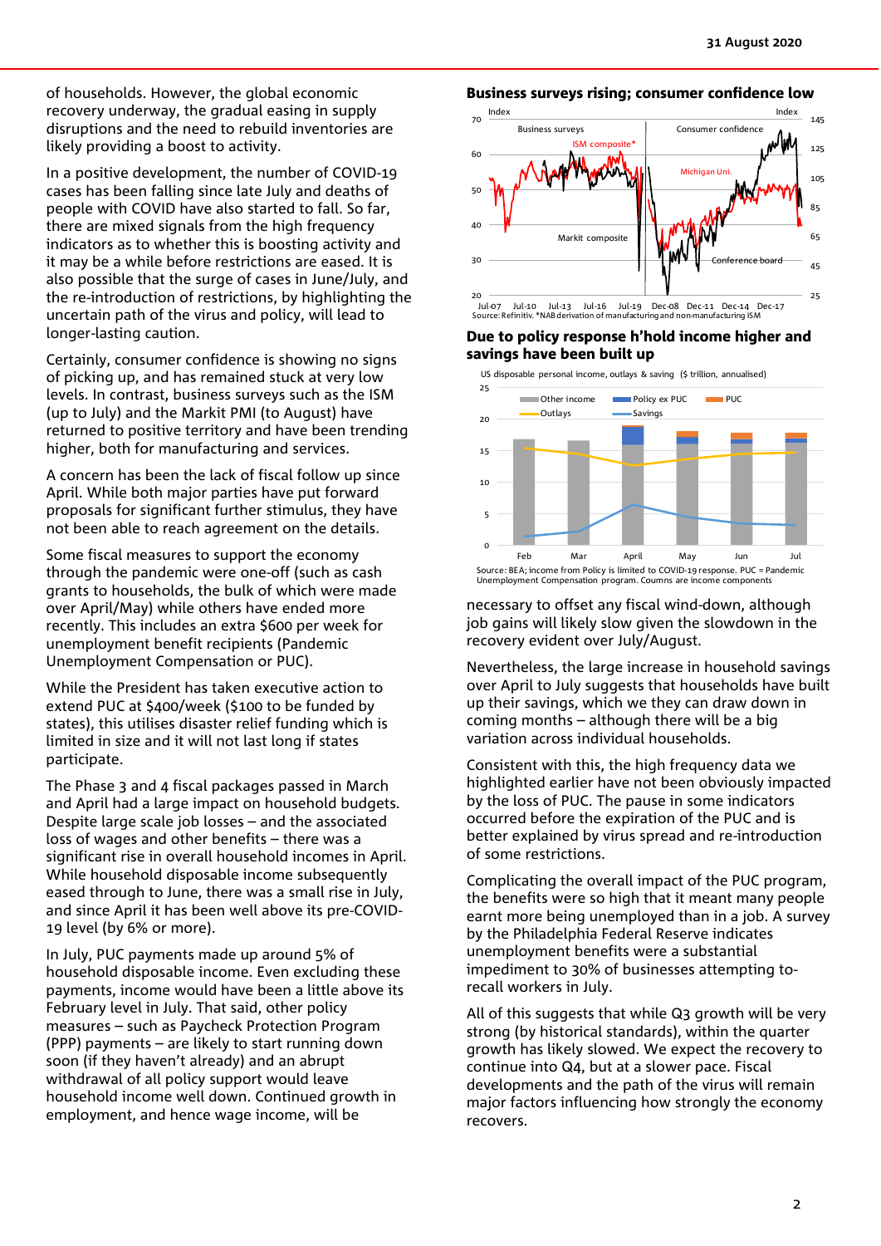of households. However, the global economic recovery underway, the gradual easing in supply disruptions and the need to rebuild inventories are likely providing a boost to activity.

In a positive development, the number of COVID-19 cases has been falling since late July and deaths of people with COVID have also started to fall. So far, there are mixed signals from the high frequency indicators as to whether this is boosting activity and it may be a while before restrictions are eased. It is also possible that the surge of cases in June/July, and the re-introduction of restrictions, by highlighting the uncertain path of the virus and policy, will lead to longer-lasting caution.

Certainly, consumer confidence is showing no signs of picking up, and has remained stuck at very low levels. In contrast, business surveys such as the ISM (up to July) and the Markit PMI (to August) have returned to positive territory and have been trending higher, both for manufacturing and services.

A concern has been the lack of fiscal follow up since April. While both major parties have put forward proposals for significant further stimulus, they have not been able to reach agreement on the details.

Some fiscal measures to support the economy through the pandemic were one-off (such as cash grants to households, the bulk of which were made over April/May) while others have ended more recently. This includes an extra \$600 per week for unemployment benefit recipients (Pandemic Unemployment Compensation or PUC).

While the President has taken executive action to extend PUC at \$400/week (\$100 to be funded by states), this utilises disaster relief funding which is limited in size and it will not last long if states participate.

The Phase 3 and 4 fiscal packages passed in March and April had a large impact on household budgets. Despite large scale job losses – and the associated loss of wages and other benefits – there was a significant rise in overall household incomes in April. While household disposable income subsequently eased through to June, there was a small rise in July, and since April it has been well above its pre-COVID-19 level (by 6% or more).

In July, PUC payments made up around 5% of household disposable income. Even excluding these payments, income would have been a little above its February level in July. That said, other policy measures – such as Paycheck Protection Program (PPP) payments – are likely to start running down soon (if they haven't already) and an abrupt withdrawal of all policy support would leave household income well down. Continued growth in employment, and hence wage income, will be



### Due to policy response h'hold income higher and savings have been built up

US disposable personal income, outlays & saving (\$ trillion, annualised)



necessary to offset any fiscal wind-down, although job gains will likely slow given the slowdown in the recovery evident over July/August.

Nevertheless, the large increase in household savings over April to July suggests that households have built up their savings, which we they can draw down in coming months – although there will be a big variation across individual households.

Consistent with this, the high frequency data we highlighted earlier have not been obviously impacted by the loss of PUC. The pause in some indicators occurred before the expiration of the PUC and is better explained by virus spread and re-introduction of some restrictions.

Complicating the overall impact of the PUC program, the benefits were so high that it meant many people earnt more being unemployed than in a job. A survey by the Philadelphia Federal Reserve indicates unemployment benefits were a substantial impediment to 30% of businesses attempting torecall workers in July.

All of this suggests that while Q3 growth will be very strong (by historical standards), within the quarter growth has likely slowed. We expect the recovery to continue into Q4, but at a slower pace. Fiscal developments and the path of the virus will remain major factors influencing how strongly the economy recovers.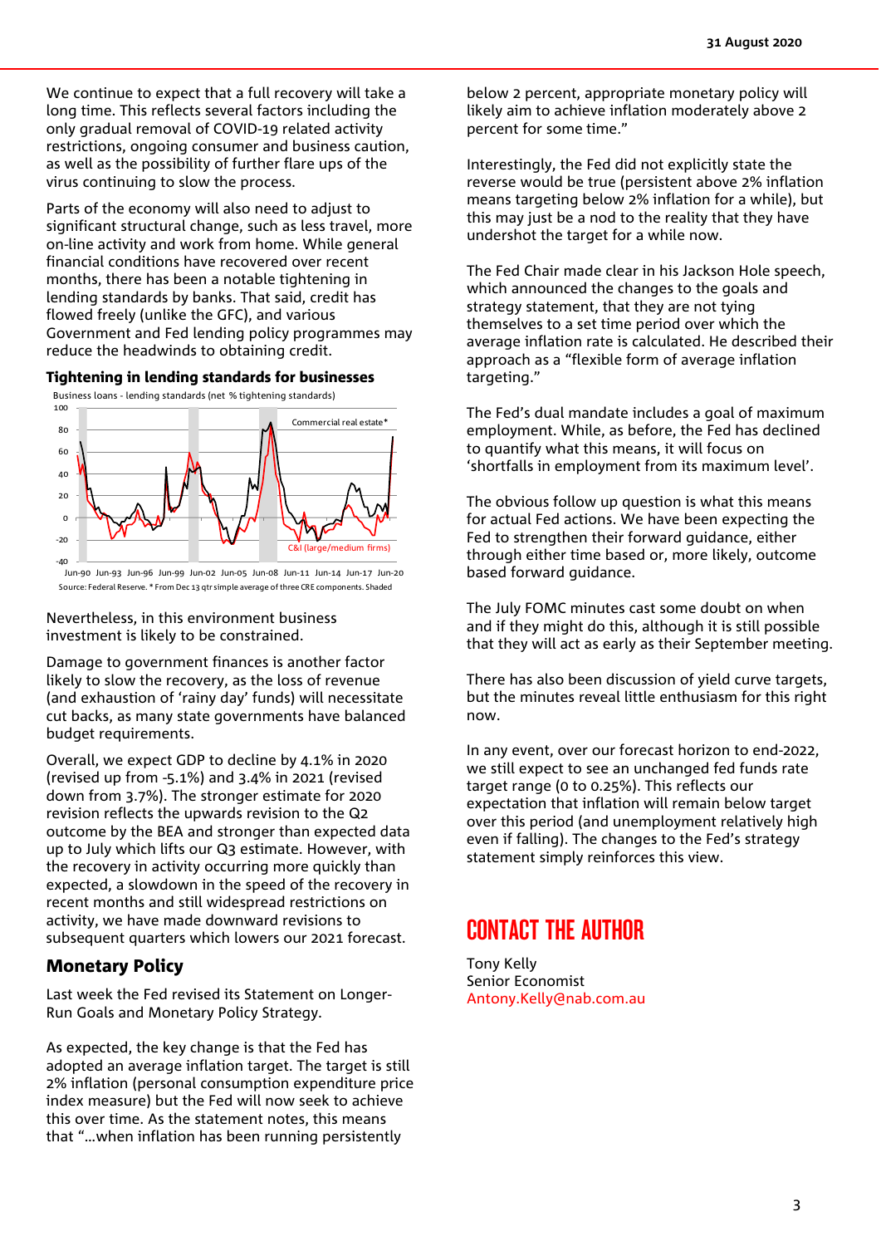We continue to expect that a full recovery will take a long time. This reflects several factors including the only gradual removal of COVID-19 related activity restrictions, ongoing consumer and business caution, as well as the possibility of further flare ups of the virus continuing to slow the process.

Parts of the economy will also need to adjust to significant structural change, such as less travel, more on-line activity and work from home. While general financial conditions have recovered over recent months, there has been a notable tightening in lending standards by banks. That said, credit has flowed freely (unlike the GFC), and various Government and Fed lending policy programmes may reduce the headwinds to obtaining credit.

#### Tightening in lending standards for businesses



Jun-90 Jun-93 Jun-96 Jun-99 Jun-02 Jun-05 Jun-08 Jun-11 Jun-14 Jun-17 Jun-20 Source: Federal Reserve. \* From Dec 13 qtr simple average of three CRE components. Shaded

Nevertheless, in this environment business investment is likely to be constrained.

Damage to government finances is another factor likely to slow the recovery, as the loss of revenue (and exhaustion of 'rainy day' funds) will necessitate cut backs, as many state governments have balanced budget requirements.

Overall, we expect GDP to decline by 4.1% in 2020 (revised up from -5.1%) and 3.4% in 2021 (revised down from 3.7%). The stronger estimate for 2020 revision reflects the upwards revision to the Q2 outcome by the BEA and stronger than expected data up to July which lifts our Q3 estimate. However, with the recovery in activity occurring more quickly than expected, a slowdown in the speed of the recovery in recent months and still widespread restrictions on activity, we have made downward revisions to subsequent quarters which lowers our 2021 forecast.

### Monetary Policy

Last week the Fed revised its Statement on Longer-Run Goals and Monetary Policy Strategy.

As expected, the key change is that the Fed has adopted an average inflation target. The target is still 2% inflation (personal consumption expenditure price index measure) but the Fed will now seek to achieve this over time. As the statement notes, this means that "…when inflation has been running persistently

below 2 percent, appropriate monetary policy will likely aim to achieve inflation moderately above 2 percent for some time."

Interestingly, the Fed did not explicitly state the reverse would be true (persistent above 2% inflation means targeting below 2% inflation for a while), but this may just be a nod to the reality that they have undershot the target for a while now.

The Fed Chair made clear in his Jackson Hole speech, which announced the changes to the goals and strategy statement, that they are not tying themselves to a set time period over which the average inflation rate is calculated. He described their approach as a "flexible form of average inflation targeting."

The Fed's dual mandate includes a goal of maximum employment. While, as before, the Fed has declined to quantify what this means, it will focus on 'shortfalls in employment from its maximum level'.

The obvious follow up question is what this means for actual Fed actions. We have been expecting the Fed to strengthen their forward guidance, either through either time based or, more likely, outcome based forward guidance.

The July FOMC minutes cast some doubt on when and if they might do this, although it is still possible that they will act as early as their September meeting.

There has also been discussion of yield curve targets, but the minutes reveal little enthusiasm for this right now.

In any event, over our forecast horizon to end-2022, we still expect to see an unchanged fed funds rate target range (0 to 0.25%). This reflects our expectation that inflation will remain below target over this period (and unemployment relatively high even if falling). The changes to the Fed's strategy statement simply reinforces this view.

## CONTACT THE AUTHOR

Tony Kelly Senior Economist [Antony.Kelly@nab.com.au](mailto:Antony.Kelly@nab.com.au)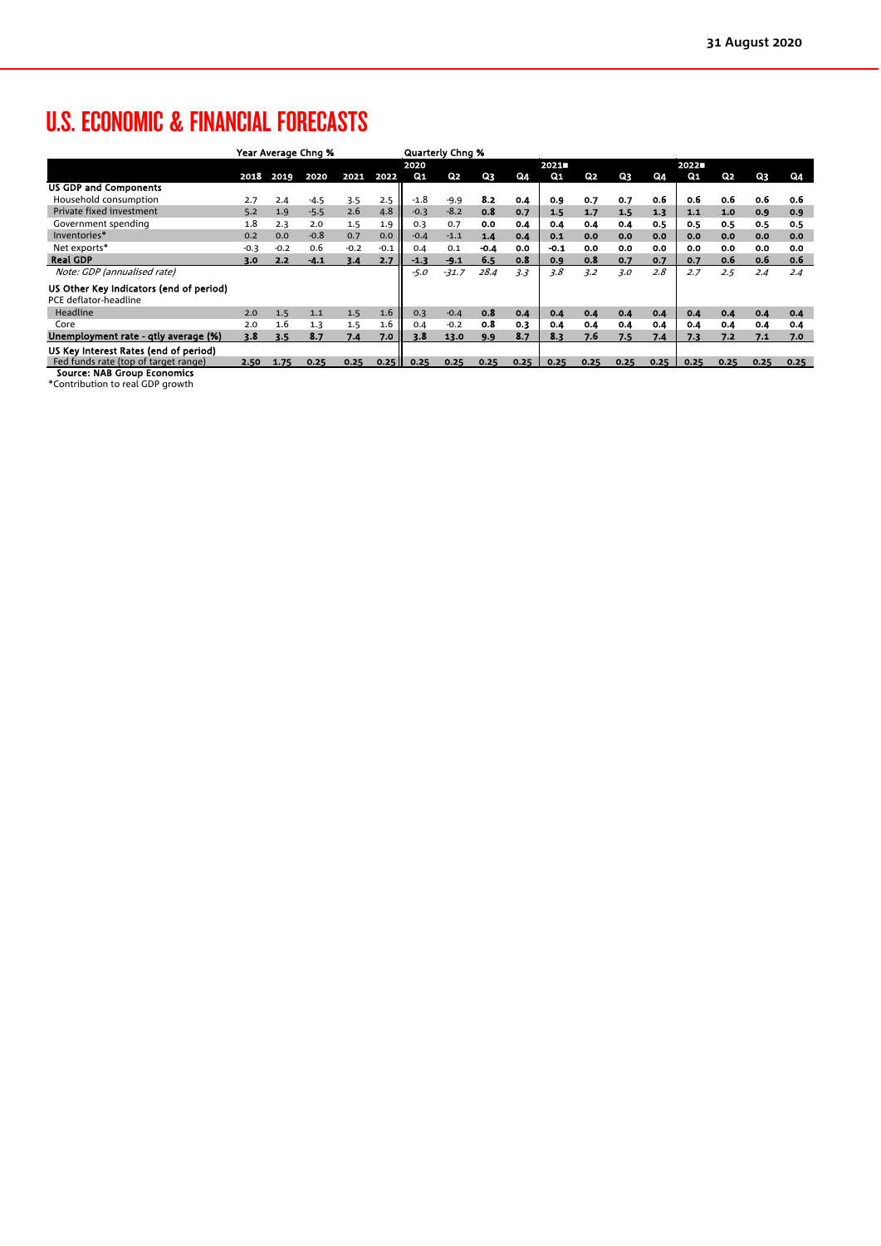# U.S. ECONOMIC & FINANCIAL FORECASTS

|                                                                  | Year Average Chng % |        |        |        |        |        | <b>Quarterly Chng %</b> |        |      |        |      |      |      |      |      |      |      |
|------------------------------------------------------------------|---------------------|--------|--------|--------|--------|--------|-------------------------|--------|------|--------|------|------|------|------|------|------|------|
|                                                                  |                     |        |        |        |        | 2020   |                         |        |      | 2021   |      |      |      | 2022 |      |      |      |
|                                                                  | 2018                | 2019   | 2020   | 2021   | 2022   | Q1     | Q <sub>2</sub>          | Q3     | Q4   | $Q_1$  | Q2   | Q3   | Q4   | Q1   | Q2   | Q3   | Q4   |
| <b>US GDP and Components</b>                                     |                     |        |        |        |        |        |                         |        |      |        |      |      |      |      |      |      |      |
| Household consumption                                            | 2.7                 | 2.4    | $-4.5$ | 3.5    | 2.5    | $-1.8$ | $-9.9$                  | 8.2    | 0.4  | 0.9    | 0.7  | 0.7  | 0.6  | 0.6  | 0.6  | 0.6  | 0.6  |
| Private fixed investment                                         | 5.2                 | 1.9    | $-5.5$ | 2.6    | 4.8    | $-0.3$ | $-8.2$                  | 0.8    | 0.7  | 1.5    | 1,7  | 1.5  | 1.3  | 1.1  | 1.0  | 0.9  | 0.9  |
| Government spending                                              | 1.8                 | 2.3    | 2.0    | 1.5    | 1.9    | 0.3    | 0.7                     | 0.0    | 0.4  | 0.4    | 0.4  | 0.4  | 0.5  | 0.5  | 0.5  | 0.5  | 0.5  |
| Inventories*                                                     | 0.2                 | 0.0    | $-0.8$ | 0.7    | 0.0    | $-0.4$ | $-1.1$                  | 1.4    | 0.4  | 0.1    | 0.0  | 0.0  | 0.0  | 0.0  | 0.0  | 0.0  | 0.0  |
| Net exports*                                                     | $-0.3$              | $-0.2$ | 0.6    | $-0.2$ | $-0.1$ | 0.4    | 0.1                     | $-0.4$ | 0.0  | $-0.1$ | 0.0  | 0.0  | 0.0  | 0.0  | 0.0  | 0.0  | 0.0  |
| <b>Real GDP</b>                                                  | 3.0                 | 2.2    | $-4.1$ | 3.4    | 2.7    | $-1.3$ | $-9.1$                  | 6.5    | 0.8  | 0.9    | 0.8  | 0.7  | 0.7  | 0.7  | 0.6  | 0.6  | 0.6  |
| Note: GDP (annualised rate)                                      |                     |        |        |        |        | $-5.0$ | $-31.7$                 | 28.4   | 3.3  | 3.8    | 3.2  | 3.0  | 2.8  | 2.7  | 2.5  | 2.4  | 2.4  |
| US Other Key Indicators (end of period)<br>PCE deflator-headline |                     |        |        |        |        |        |                         |        |      |        |      |      |      |      |      |      |      |
| Headline                                                         | 2.0                 | 1.5    | 1.1    | 1.5    | 1.6    | 0.3    | $-0.4$                  | 0.8    | 0.4  | 0.4    | 0.4  | 0.4  | 0.4  | 0.4  | 0.4  | 0.4  | 0.4  |
| Core                                                             | 2.0                 | 1.6    | 1.3    | 1.5    | 1.6    | 0.4    | $-0.2$                  | 0.8    | 0.3  | 0.4    | 0.4  | 0.4  | 0.4  | 0.4  | 0.4  | 0.4  | 0.4  |
| Unemployment rate - qtly average (%)                             | 3.8                 | 3.5    | 8.7    | 7.4    | 7.0    | 3.8    | 13.0                    | 9.9    | 8.7  | 8.3    | 7.6  | 7.5  | 7.4  | 7.3  | 7.2  | 7.1  | 7.0  |
| US Key Interest Rates (end of period)                            |                     |        |        |        |        |        |                         |        |      |        |      |      |      |      |      |      |      |
| Fed funds rate (top of target range)                             | 2.50                | 1.75   | 0.25   | 0.25   | 0.25   | 0.25   | 0.25                    | 0.25   | 0.25 | 0.25   | 0.25 | 0.25 | 0.25 | 0.25 | 0.25 | 0.25 | 0.25 |
| <b>Source: NAB Group Economics</b>                               |                     |        |        |        |        |        |                         |        |      |        |      |      |      |      |      |      |      |

Source: NAB Group Economics \*Contribution to real GDP growth